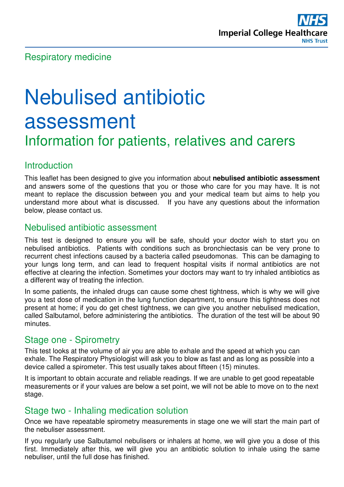

# Nebulised antibiotic assessment Information for patients, relatives and carers

## Introduction

This leaflet has been designed to give you information about **nebulised antibiotic assessment** and answers some of the questions that you or those who care for you may have. It is not meant to replace the discussion between you and your medical team but aims to help you understand more about what is discussed. If you have any questions about the information below, please contact us.

## Nebulised antibiotic assessment

This test is designed to ensure you will be safe, should your doctor wish to start you on nebulised antibiotics. Patients with conditions such as bronchiectasis can be very prone to recurrent chest infections caused by a bacteria called pseudomonas. This can be damaging to your lungs long term, and can lead to frequent hospital visits if normal antibiotics are not effective at clearing the infection. Sometimes your doctors may want to try inhaled antibiotics as a different way of treating the infection.

In some patients, the inhaled drugs can cause some chest tightness, which is why we will give you a test dose of medication in the lung function department, to ensure this tightness does not present at home; if you do get chest tightness, we can give you another nebulised medication, called Salbutamol, before administering the antibiotics. The duration of the test will be about 90 minutes.

#### Stage one - Spirometry

This test looks at the volume of air you are able to exhale and the speed at which you can exhale. The Respiratory Physiologist will ask you to blow as fast and as long as possible into a device called a spirometer. This test usually takes about fifteen (15) minutes.

It is important to obtain accurate and reliable readings. If we are unable to get good repeatable measurements or if your values are below a set point, we will not be able to move on to the next stage.

#### Stage two - Inhaling medication solution

Once we have repeatable spirometry measurements in stage one we will start the main part of the nebuliser assessment.

If you regularly use Salbutamol nebulisers or inhalers at home, we will give you a dose of this first. Immediately after this, we will give you an antibiotic solution to inhale using the same nebuliser, until the full dose has finished.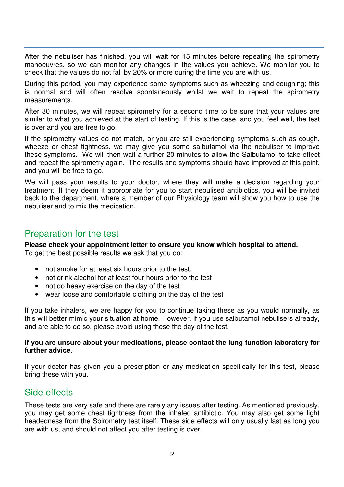After the nebuliser has finished, you will wait for 15 minutes before repeating the spirometry manoeuvres, so we can monitor any changes in the values you achieve. We monitor you to check that the values do not fall by 20% or more during the time you are with us.

During this period, you may experience some symptoms such as wheezing and coughing; this is normal and will often resolve spontaneously whilst we wait to repeat the spirometry measurements.

After 30 minutes, we will repeat spirometry for a second time to be sure that your values are similar to what you achieved at the start of testing. If this is the case, and you feel well, the test is over and you are free to go.

If the spirometry values do not match, or you are still experiencing symptoms such as cough, wheeze or chest tightness, we may give you some salbutamol via the nebuliser to improve these symptoms. We will then wait a further 20 minutes to allow the Salbutamol to take effect and repeat the spirometry again. The results and symptoms should have improved at this point, and you will be free to go.

We will pass your results to your doctor, where they will make a decision regarding your treatment. If they deem it appropriate for you to start nebulised antibiotics, you will be invited back to the department, where a member of our Physiology team will show you how to use the nebuliser and to mix the medication.

## Preparation for the test

**Please check your appointment letter to ensure you know which hospital to attend.**  To get the best possible results we ask that you do:

- not smoke for at least six hours prior to the test.
- not drink alcohol for at least four hours prior to the test
- not do heavy exercise on the day of the test
- wear loose and comfortable clothing on the day of the test

If you take inhalers, we are happy for you to continue taking these as you would normally, as this will better mimic your situation at home. However, if you use salbutamol nebulisers already, and are able to do so, please avoid using these the day of the test.

#### **If you are unsure about your medications, please contact the lung function laboratory for further advice**.

If your doctor has given you a prescription or any medication specifically for this test, please bring these with you.

#### Side effects

These tests are very safe and there are rarely any issues after testing. As mentioned previously, you may get some chest tightness from the inhaled antibiotic. You may also get some light headedness from the Spirometry test itself. These side effects will only usually last as long you are with us, and should not affect you after testing is over.